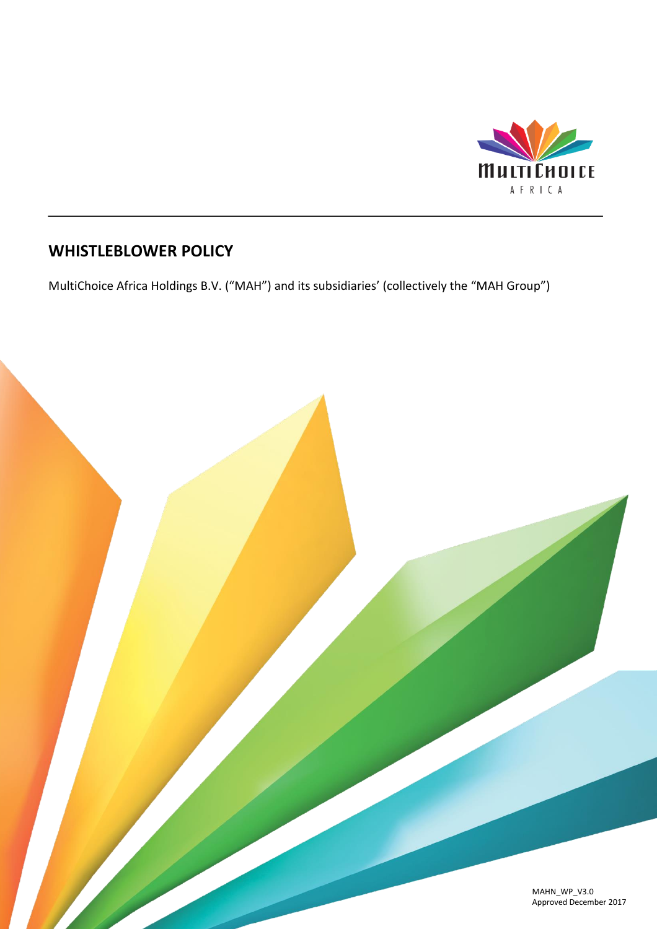

# **WHISTLEBLOWER POLICY**

MultiChoice Africa Holdings B.V. ("MAH") and its subsidiaries' (collectively the "MAH Group")

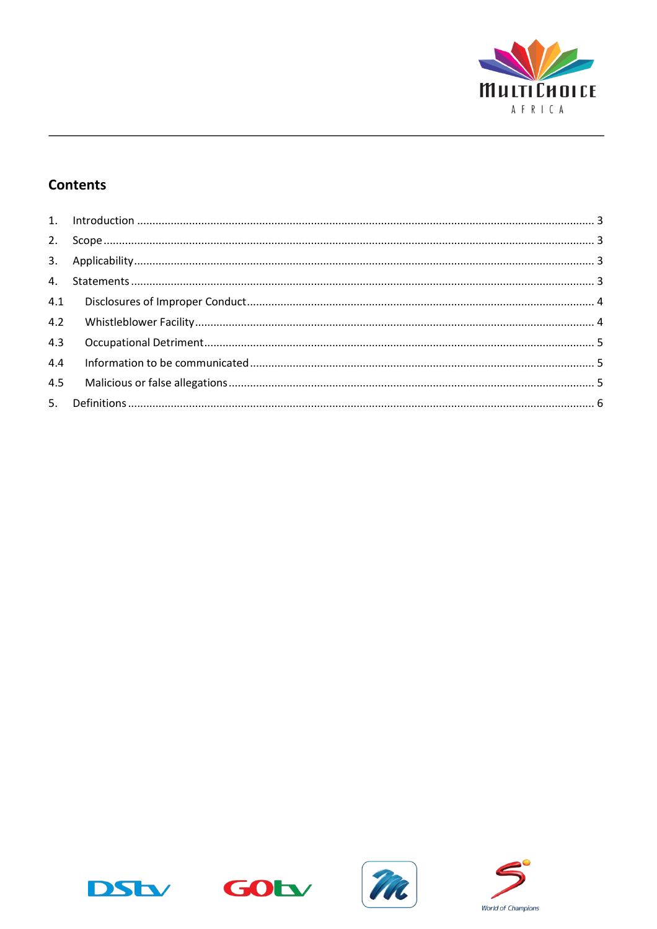

# **Contents**

| 4.3 |  |
|-----|--|
| 4.4 |  |
|     |  |
|     |  |







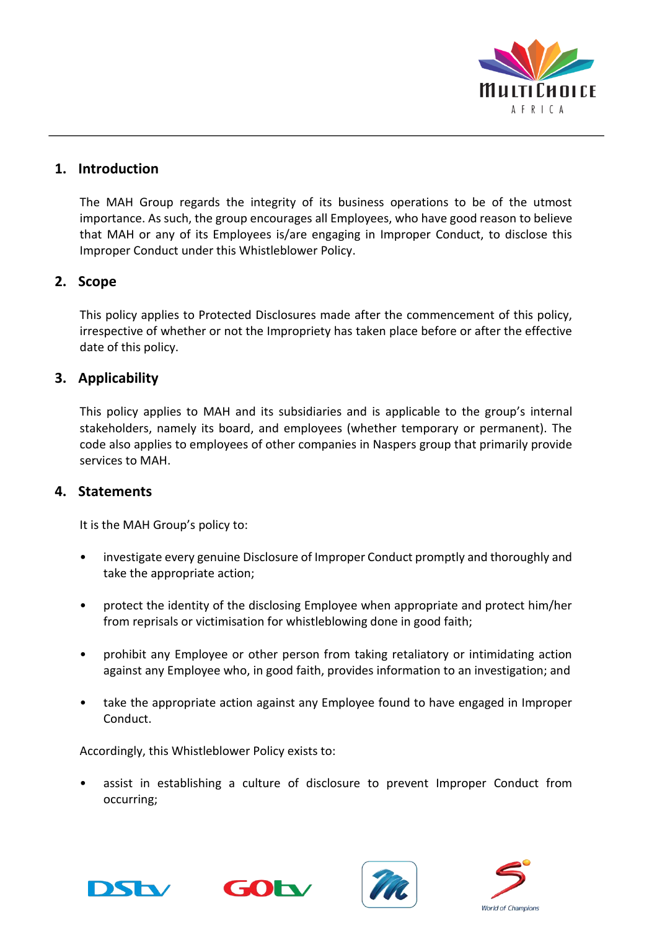

## <span id="page-2-0"></span>**1. Introduction**

The MAH Group regards the integrity of its business operations to be of the utmost importance. As such, the group encourages all Employees, who have good reason to believe that MAH or any of its Employees is/are engaging in Improper Conduct, to disclose this Improper Conduct under this Whistleblower Policy.

## <span id="page-2-1"></span>**2. Scope**

This policy applies to Protected Disclosures made after the commencement of this policy, irrespective of whether or not the Impropriety has taken place before or after the effective date of this policy.

## <span id="page-2-2"></span>**3. Applicability**

This policy applies to MAH and its subsidiaries and is applicable to the group's internal stakeholders, namely its board, and employees (whether temporary or permanent). The code also applies to employees of other companies in Naspers group that primarily provide services to MAH.

#### <span id="page-2-3"></span>**4. Statements**

It is the MAH Group's policy to:

- investigate every genuine Disclosure of Improper Conduct promptly and thoroughly and take the appropriate action;
- protect the identity of the disclosing Employee when appropriate and protect him/her from reprisals or victimisation for whistleblowing done in good faith;
- prohibit any Employee or other person from taking retaliatory or intimidating action against any Employee who, in good faith, provides information to an investigation; and
- take the appropriate action against any Employee found to have engaged in Improper Conduct.

Accordingly, this Whistleblower Policy exists to:

• assist in establishing a culture of disclosure to prevent Improper Conduct from occurring;







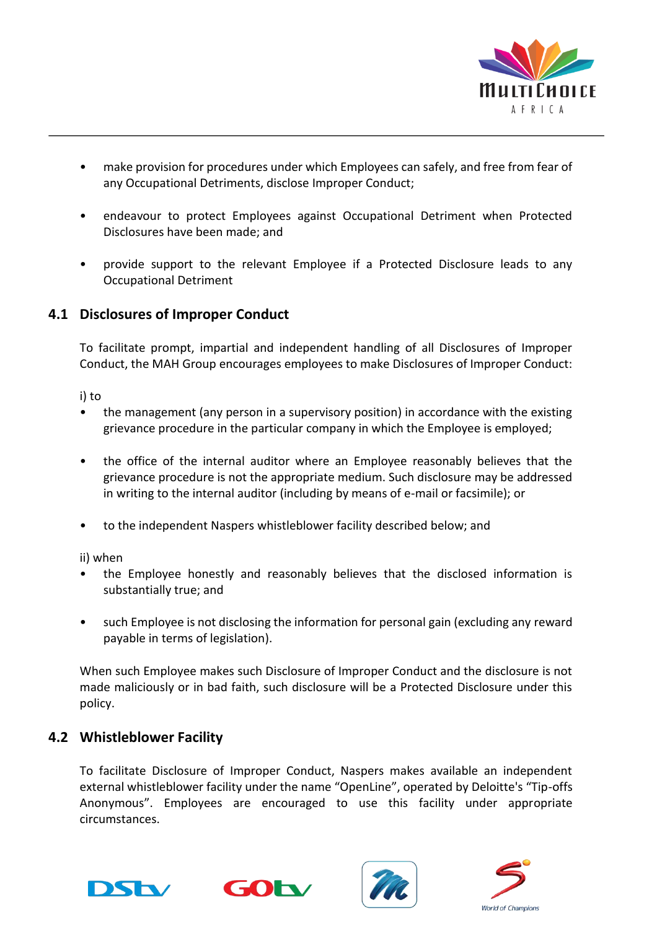

- make provision for procedures under which Employees can safely, and free from fear of any Occupational Detriments, disclose Improper Conduct;
- endeavour to protect Employees against Occupational Detriment when Protected Disclosures have been made; and
- provide support to the relevant Employee if a Protected Disclosure leads to any Occupational Detriment

# <span id="page-3-0"></span>**4.1 Disclosures of Improper Conduct**

To facilitate prompt, impartial and independent handling of all Disclosures of Improper Conduct, the MAH Group encourages employees to make Disclosures of Improper Conduct:

i) to

- the management (any person in a supervisory position) in accordance with the existing grievance procedure in the particular company in which the Employee is employed;
- the office of the internal auditor where an Employee reasonably believes that the grievance procedure is not the appropriate medium. Such disclosure may be addressed in writing to the internal auditor (including by means of e-mail or facsimile); or
- to the independent Naspers whistleblower facility described below; and

ii) when

- the Employee honestly and reasonably believes that the disclosed information is substantially true; and
- such Employee is not disclosing the information for personal gain (excluding any reward payable in terms of legislation).

When such Employee makes such Disclosure of Improper Conduct and the disclosure is not made maliciously or in bad faith, such disclosure will be a Protected Disclosure under this policy.

# <span id="page-3-1"></span>**4.2 Whistleblower Facility**

To facilitate Disclosure of Improper Conduct, Naspers makes available an independent external whistleblower facility under the name "OpenLine", operated by Deloitte's "Tip-offs Anonymous". Employees are encouraged to use this facility under appropriate circumstances.







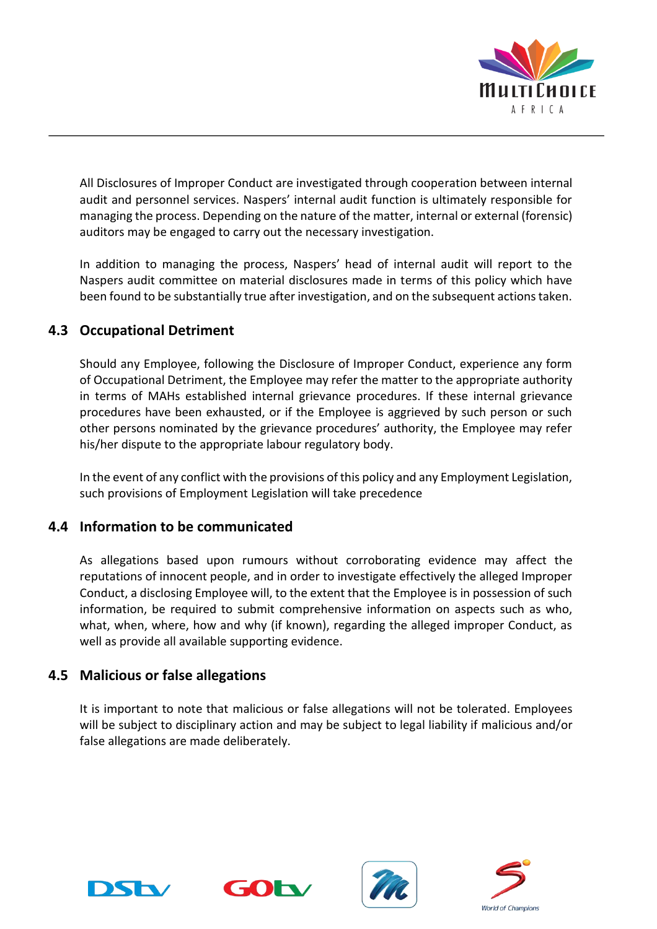

All Disclosures of Improper Conduct are investigated through cooperation between internal audit and personnel services. Naspers' internal audit function is ultimately responsible for managing the process. Depending on the nature of the matter, internal or external (forensic) auditors may be engaged to carry out the necessary investigation.

In addition to managing the process, Naspers' head of internal audit will report to the Naspers audit committee on material disclosures made in terms of this policy which have been found to be substantially true after investigation, and on the subsequent actions taken.

# <span id="page-4-0"></span>**4.3 Occupational Detriment**

Should any Employee, following the Disclosure of Improper Conduct, experience any form of Occupational Detriment, the Employee may refer the matter to the appropriate authority in terms of MAHs established internal grievance procedures. If these internal grievance procedures have been exhausted, or if the Employee is aggrieved by such person or such other persons nominated by the grievance procedures' authority, the Employee may refer his/her dispute to the appropriate labour regulatory body.

In the event of any conflict with the provisions of this policy and any Employment Legislation, such provisions of Employment Legislation will take precedence

#### <span id="page-4-1"></span>**4.4 Information to be communicated**

As allegations based upon rumours without corroborating evidence may affect the reputations of innocent people, and in order to investigate effectively the alleged Improper Conduct, a disclosing Employee will, to the extent that the Employee is in possession of such information, be required to submit comprehensive information on aspects such as who, what, when, where, how and why (if known), regarding the alleged improper Conduct, as well as provide all available supporting evidence.

#### <span id="page-4-2"></span>**4.5 Malicious or false allegations**

It is important to note that malicious or false allegations will not be tolerated. Employees will be subject to disciplinary action and may be subject to legal liability if malicious and/or false allegations are made deliberately.







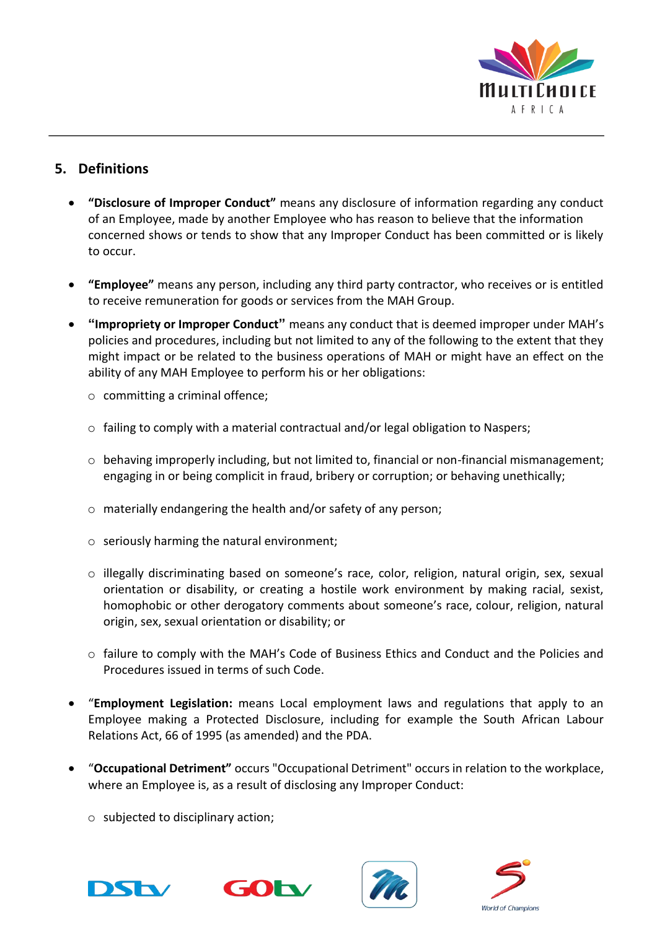

# <span id="page-5-0"></span>**5. Definitions**

- **"Disclosure of Improper Conduct"** means any disclosure of information regarding any conduct of an Employee, made by another Employee who has reason to believe that the information concerned shows or tends to show that any Improper Conduct has been committed or is likely to occur.
- **"Employee"** means any person, including any third party contractor, who receives or is entitled to receive remuneration for goods or services from the MAH Group.
- **"Impropriety or Improper Conduct"** means any conduct that is deemed improper under MAH's policies and procedures, including but not limited to any of the following to the extent that they might impact or be related to the business operations of MAH or might have an effect on the ability of any MAH Employee to perform his or her obligations:
	- o committing a criminal offence;
	- o failing to comply with a material contractual and/or legal obligation to Naspers;
	- $\circ$  behaving improperly including, but not limited to, financial or non-financial mismanagement; engaging in or being complicit in fraud, bribery or corruption; or behaving unethically;
	- o materially endangering the health and/or safety of any person;
	- o seriously harming the natural environment;
	- o illegally discriminating based on someone's race, color, religion, natural origin, sex, sexual orientation or disability, or creating a hostile work environment by making racial, sexist, homophobic or other derogatory comments about someone's race, colour, religion, natural origin, sex, sexual orientation or disability; or
	- o failure to comply with the MAH's Code of Business Ethics and Conduct and the Policies and Procedures issued in terms of such Code.
- "**Employment Legislation:** means Local employment laws and regulations that apply to an Employee making a Protected Disclosure, including for example the South African Labour Relations Act, 66 of 1995 (as amended) and the PDA.
- "**Occupational Detriment"** occurs "Occupational Detriment" occurs in relation to the workplace, where an Employee is, as a result of disclosing any Improper Conduct:
	- $\circ$  subjected to disciplinary action;